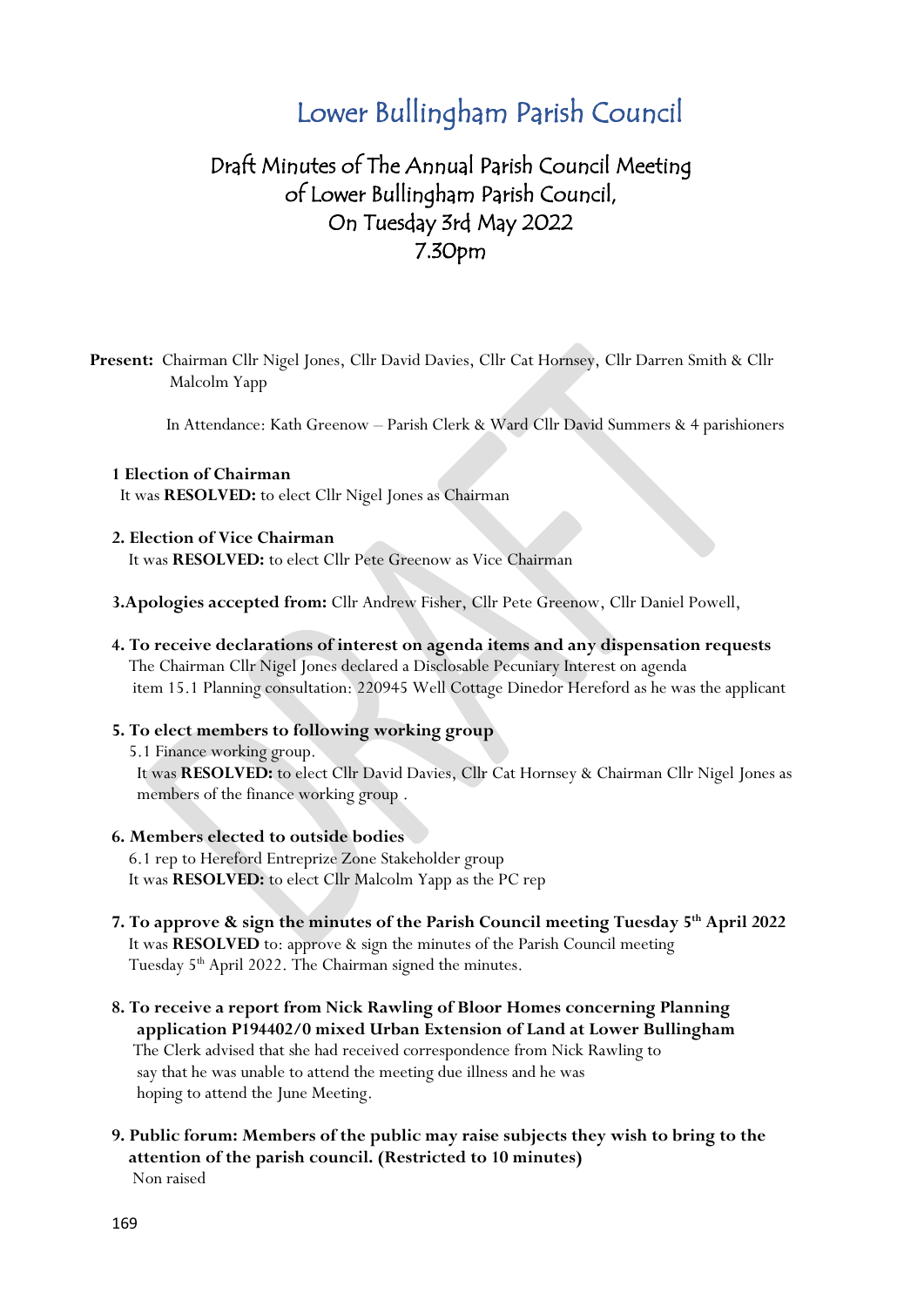# Lower Bullingham Parish Council

# Draft Minutes of The Annual Parish Council Meeting of Lower Bullingham Parish Council, On Tuesday 3rd May 2022 7.30pm

**Present:** Chairman Cllr Nigel Jones, Cllr David Davies, Cllr Cat Hornsey, Cllr Darren Smith & Cllr Malcolm Yapp

In Attendance: Kath Greenow – Parish Clerk & Ward Cllr David Summers & 4 parishioners

#### **1 Election of Chairman**

It was **RESOLVED:** to elect Cllr Nigel Jones as Chairman

#### **2. Election of Vice Chairman**

It was **RESOLVED:** to elect Cllr Pete Greenow as Vice Chairman

- **3.Apologies accepted from:** Cllr Andrew Fisher, Cllr Pete Greenow, Cllr Daniel Powell,
- **4. To receive declarations of interest on agenda items and any dispensation requests** The Chairman Cllr Nigel Jones declared a Disclosable Pecuniary Interest on agenda item 15.1 Planning consultation: 220945 Well Cottage Dinedor Hereford as he was the applicant

#### **5. To elect members to following working group**

5.1 Finance working group.

 It was **RESOLVED:** to elect Cllr David Davies, Cllr Cat Hornsey & Chairman Cllr Nigel Jones as members of the finance working group .

#### **6. Members elected to outside bodies**

 6.1 rep to Hereford Entreprize Zone Stakeholder group It was **RESOLVED:** to elect Cllr Malcolm Yapp as the PC rep

- **7. To approve & sign the minutes of the Parish Council meeting Tuesday 5th April 2022** It was **RESOLVED** to: approve & sign the minutes of the Parish Council meeting Tuesday 5<sup>th</sup> April 2022. The Chairman signed the minutes.
- **8. To receive a report from Nick Rawling of Bloor Homes concerning Planning application P194402/0 mixed Urban Extension of Land at Lower Bullingham** The Clerk advised that she had received correspondence from Nick Rawling to say that he was unable to attend the meeting due illness and he was hoping to attend the June Meeting.
- **9. Public forum: Members of the public may raise subjects they wish to bring to the attention of the parish council. (Restricted to 10 minutes)** Non raised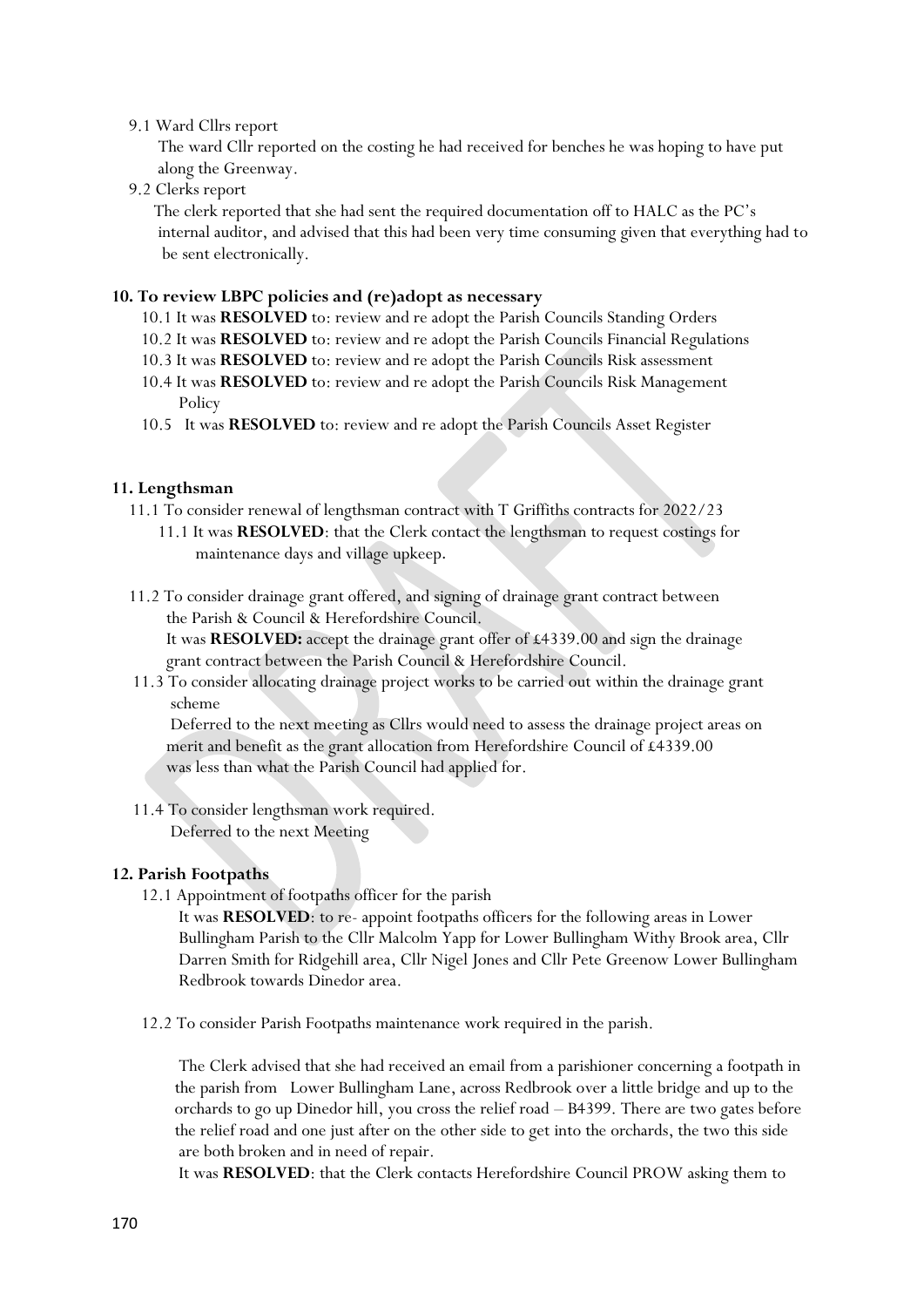#### 9.1 Ward Cllrs report

 The ward Cllr reported on the costing he had received for benches he was hoping to have put along the Greenway.

9.2 Clerks report

 The clerk reported that she had sent the required documentation off to HALC as the PC's internal auditor, and advised that this had been very time consuming given that everything had to be sent electronically.

#### **10. To review LBPC policies and (re)adopt as necessary**

- 10.1 It was **RESOLVED** to: review and re adopt the Parish Councils Standing Orders
- 10.2 It was **RESOLVED** to: review and re adopt the Parish Councils Financial Regulations
- 10.3 It was **RESOLVED** to: review and re adopt the Parish Councils Risk assessment
- 10.4 It was **RESOLVED** to: review and re adopt the Parish Councils Risk Management **Policy**
- 10.5 It was **RESOLVED** to: review and re adopt the Parish Councils Asset Register

#### **11. Lengthsman**

- 11.1 To consider renewal of lengthsman contract with T Griffiths contracts for 2022/23 11.1 It was **RESOLVED**: that the Clerk contact the lengthsman to request costings for maintenance days and village upkeep.
- 11.2 To consider drainage grant offered, and signing of drainage grant contract between the Parish & Council & Herefordshire Council.

 It was **RESOLVED:** accept the drainage grant offer of £4339.00 and sign the drainage grant contract between the Parish Council & Herefordshire Council.

 11.3 To consider allocating drainage project works to be carried out within the drainage grant scheme

 Deferred to the next meeting as Cllrs would need to assess the drainage project areas on merit and benefit as the grant allocation from Herefordshire Council of £4339.00 was less than what the Parish Council had applied for.

 11.4 To consider lengthsman work required. Deferred to the next Meeting

#### **12. Parish Footpaths**

12.1 Appointment of footpaths officer for the parish

 It was **RESOLVED**: to re- appoint footpaths officers for the following areas in Lower Bullingham Parish to the Cllr Malcolm Yapp for Lower Bullingham Withy Brook area, Cllr Darren Smith for Ridgehill area, Cllr Nigel Jones and Cllr Pete Greenow Lower Bullingham Redbrook towards Dinedor area.

12.2 To consider Parish Footpaths maintenance work required in the parish.

 The Clerk advised that she had received an email from a parishioner concerning a footpath in the parish from Lower Bullingham Lane, across Redbrook over a little bridge and up to the orchards to go up Dinedor hill, you cross the relief road – B4399. There are two gates before the relief road and one just after on the other side to get into the orchards, the two this side are both broken and in need of repair.

It was **RESOLVED**: that the Clerk contacts Herefordshire Council PROW asking them to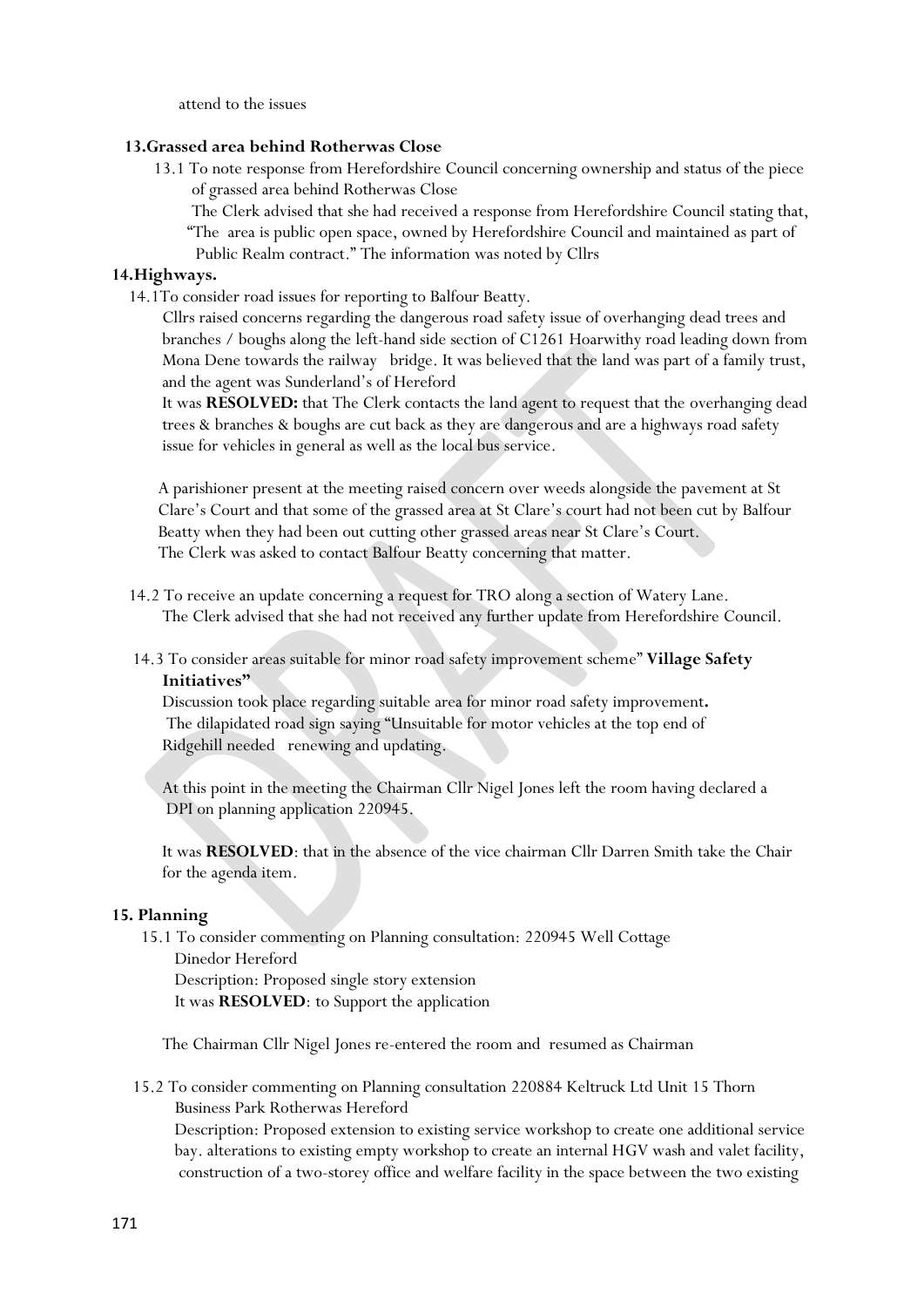attend to the issues

### **13.Grassed area behind Rotherwas Close**

 13.1 To note response from Herefordshire Council concerning ownership and status of the piece of grassed area behind Rotherwas Close

 The Clerk advised that she had received a response from Herefordshire Council stating that, "The area is public open space, owned by Herefordshire Council and maintained as part of Public Realm contract." The information was noted by Cllrs

# **14.Highways.**

14.1To consider road issues for reporting to Balfour Beatty.

 Cllrs raised concerns regarding the dangerous road safety issue of overhanging dead trees and branches / boughs along the left-hand side section of C1261 Hoarwithy road leading down from Mona Dene towards the railway bridge. It was believed that the land was part of a family trust, and the agent was Sunderland's of Hereford

 It was **RESOLVED:** that The Clerk contacts the land agent to request that the overhanging dead trees & branches & boughs are cut back as they are dangerous and are a highways road safety issue for vehicles in general as well as the local bus service.

 A parishioner present at the meeting raised concern over weeds alongside the pavement at St Clare's Court and that some of the grassed area at St Clare's court had not been cut by Balfour Beatty when they had been out cutting other grassed areas near St Clare's Court. The Clerk was asked to contact Balfour Beatty concerning that matter.

- 14.2 To receive an update concerning a request for TRO along a section of Watery Lane. The Clerk advised that she had not received any further update from Herefordshire Council.
- 14.3 To consider areas suitable for minor road safety improvement scheme" **Village Safety Initiatives"**

Discussion took place regarding suitable area for minor road safety improvement**.** The dilapidated road sign saying "Unsuitable for motor vehicles at the top end of Ridgehill needed renewing and updating.

 At this point in the meeting the Chairman Cllr Nigel Jones left the room having declared a DPI on planning application 220945.

 It was **RESOLVED**: that in the absence of the vice chairman Cllr Darren Smith take the Chair for the agenda item.

#### **15. Planning**

 15.1 To consider commenting on Planning consultation: 220945 Well Cottage Dinedor Hereford Description: Proposed single story extension It was **RESOLVED**: to Support the application

The Chairman Cllr Nigel Jones re-entered the room and resumed as Chairman

 15.2 To consider commenting on Planning consultation 220884 Keltruck Ltd Unit 15 Thorn Business Park Rotherwas Hereford Description: Proposed extension to existing service workshop to create one additional service bay. alterations to existing empty workshop to create an internal HGV wash and valet facility, construction of a two-storey office and welfare facility in the space between the two existing